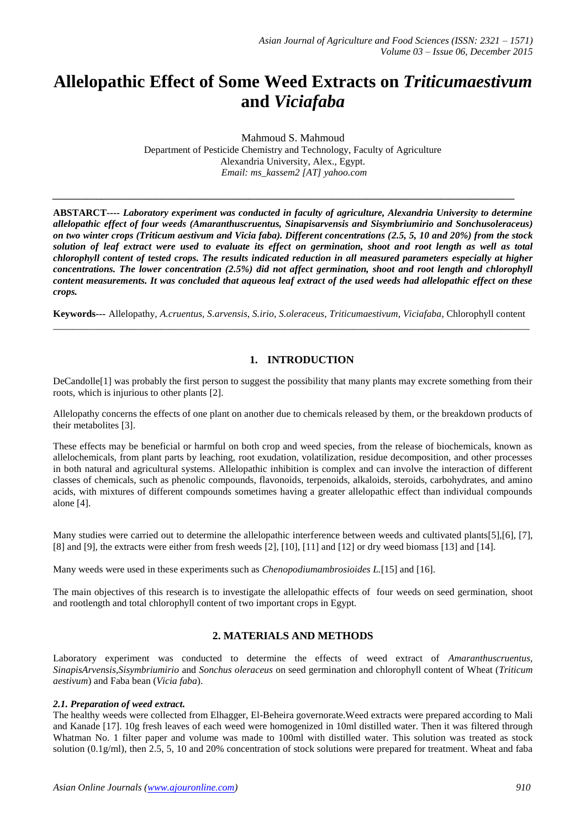# **Allelopathic Effect of Some Weed Extracts on** *Triticumaestivum* **and** *Viciafaba*

Mahmoud S. Mahmoud Department of Pesticide Chemistry and Technology, Faculty of Agriculture Alexandria University, Alex., Egypt. *Email: ms\_kassem2 [AT] yahoo.com*

*\_\_\_\_\_\_\_\_\_\_\_\_\_\_\_\_\_\_\_\_\_\_\_\_\_\_\_\_\_\_\_\_\_\_\_\_\_\_\_\_\_\_\_\_\_\_\_\_\_\_\_\_\_\_\_\_\_\_\_\_\_\_\_\_\_\_\_\_\_\_\_\_\_\_\_\_\_\_\_\_\_\_\_\_\_\_\_\_\_\_\_\_\_\_*

**ABSTARCT----** *Laboratory experiment was conducted in faculty of agriculture, Alexandria University to determine allelopathic effect of four weeds (Amaranthuscruentus, Sinapisarvensis and Sisymbriumirio and Sonchusoleraceus) on two winter crops (Triticum aestivum and Vicia faba). Different concentrations (2.5, 5, 10 and 20%) from the stock solution of leaf extract were used to evaluate its effect on germination, shoot and root length as well as total chlorophyll content of tested crops. The results indicated reduction in all measured parameters especially at higher concentrations. The lower concentration (2.5%) did not affect germination, shoot and root length and chlorophyll content measurements. It was concluded that aqueous leaf extract of the used weeds had allelopathic effect on these crops.*

**Keywords---** Allelopathy, *A.cruentus, S.arvensis*, *S.irio*, *S.oleraceus*, *Triticumaestivum*, *Viciafaba*, Chlorophyll content \_\_\_\_\_\_\_\_\_\_\_\_\_\_\_\_\_\_\_\_\_\_\_\_\_\_\_\_\_\_\_\_\_\_\_\_\_\_\_\_\_\_\_\_\_\_\_\_\_\_\_\_\_\_\_\_\_\_\_\_\_\_\_\_\_\_\_\_\_\_\_\_\_\_\_\_\_\_\_\_\_\_\_\_\_\_\_\_\_\_\_\_\_\_\_\_\_

## **1. INTRODUCTION**

DeCandolle[1] was probably the first person to suggest the possibility that many plants may excrete something from their roots, which is injurious to other plants [2].

Allelopathy concerns the effects of one plant on another due to chemicals released by them, or the breakdown products of their metabolites [3].

These effects may be beneficial or harmful on both crop and weed species, from the release of biochemicals, known as allelochemicals, from plant parts by leaching, root exudation, volatilization, residue decomposition, and other processes in both natural and agricultural systems. Allelopathic inhibition is complex and can involve the interaction of different classes of chemicals, such as phenolic compounds, flavonoids, terpenoids, alkaloids, steroids, carbohydrates, and amino acids, with mixtures of different compounds sometimes having a greater allelopathic effect than individual compounds alone [4].

Many studies were carried out to determine the allelopathic interference between weeds and cultivated plants[5],[6], [7], [8] and [9], the extracts were either from fresh weeds [2], [10], [11] and [12] or dry weed biomass [13] and [14].

Many weeds were used in these experiments such as *Chenopodiumambrosioides L.*[15] and [16].

The main objectives of this research is to investigate the allelopathic effects of four weeds on seed germination, shoot and rootlength and total chlorophyll content of two important crops in Egypt.

# **2. MATERIALS AND METHODS**

Laboratory experiment was conducted to determine the effects of weed extract of *Amaranthuscruentus, SinapisArvensis*,*Sisymbriumirio* and *Sonchus oleraceus* on seed germination and chlorophyll content of Wheat (*Triticum aestivum*) and Faba bean (*Vicia faba*).

#### *2.1. Preparation of weed extract.*

The healthy weeds were collected from Elhagger, El-Beheira governorate.Weed extracts were prepared according to Mali and Kanade [17]. 10g fresh leaves of each weed were homogenized in 10ml distilled water. Then it was filtered through Whatman No. 1 filter paper and volume was made to 100ml with distilled water. This solution was treated as stock solution (0.1g/ml), then 2.5, 5, 10 and 20% concentration of stock solutions were prepared for treatment. Wheat and faba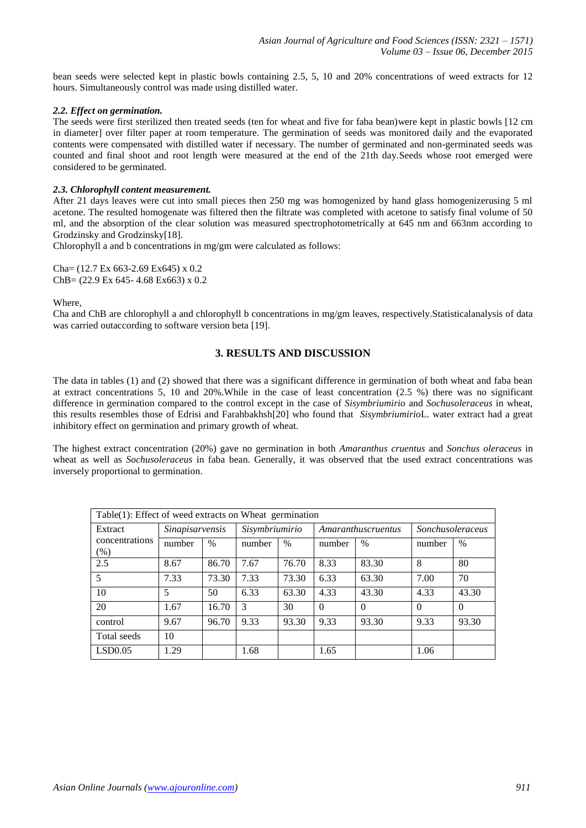bean seeds were selected kept in plastic bowls containing 2.5, 5, 10 and 20% concentrations of weed extracts for 12 hours. Simultaneously control was made using distilled water.

#### *2.2. Effect on germination.*

The seeds were first sterilized then treated seeds (ten for wheat and five for faba bean)were kept in plastic bowls [12 cm in diameter] over filter paper at room temperature. The germination of seeds was monitored daily and the evaporated contents were compensated with distilled water if necessary. The number of germinated and non-germinated seeds was counted and final shoot and root length were measured at the end of the 21th day.Seeds whose root emerged were considered to be germinated.

#### *2.3. Chlorophyll content measurement.*

After 21 days leaves were cut into small pieces then 250 mg was homogenized by hand glass homogenizerusing 5 ml acetone. The resulted homogenate was filtered then the filtrate was completed with acetone to satisfy final volume of 50 ml, and the absorption of the clear solution was measured spectrophotometrically at 645 nm and 663nm according to Grodzinsky and Grodzinsky[18].

Chlorophyll a and b concentrations in mg/gm were calculated as follows:

Cha= (12.7 Ex 663-2.69 Ex645) x 0.2 ChB= (22.9 Ex 645- 4.68 Ex663) x 0.2

Where,

Cha and ChB are chlorophyll a and chlorophyll b concentrations in mg/gm leaves, respectively.Statisticalanalysis of data was carried outaccording to software version beta [19].

### **3. RESULTS AND DISCUSSION**

The data in tables (1) and (2) showed that there was a significant difference in germination of both wheat and faba bean at extract concentrations 5, 10 and 20%.While in the case of least concentration (2.5 %) there was no significant difference in germination compared to the control except in the case of *Sisymbriumirio* and *Sochusoleraceus* in wheat, this results resembles those of Edrisi and Farahbakhsh[20] who found that *Sisymbriumirio*L. water extract had a great inhibitory effect on germination and primary growth of wheat.

The highest extract concentration (20%) gave no germination in both *Amaranthus cruentus* and *Sonchus oleraceus* in wheat as well as *Sochusoleraceus* in faba bean. Generally, it was observed that the used extract concentrations was inversely proportional to germination.

| Table(1): Effect of weed extracts on Wheat germination |                        |       |                |       |                |                    |                  |                |  |  |
|--------------------------------------------------------|------------------------|-------|----------------|-------|----------------|--------------------|------------------|----------------|--|--|
| Extract                                                | <b>Sinapisarvensis</b> |       | Sisymbriumirio |       |                | Amaranthuscruentus | Sonchusoleraceus |                |  |  |
| concentrations<br>$(\%)$                               | number                 | $\%$  | number         | $\%$  | $\%$<br>number |                    | number           | $\%$           |  |  |
| 2.5                                                    | 8.67                   | 86.70 | 7.67           | 76.70 | 8.33           | 83.30              | 8                | 80             |  |  |
| 5                                                      | 7.33                   | 73.30 | 7.33           | 73.30 | 6.33           | 63.30              | 7.00             | 70             |  |  |
| 10                                                     | 5                      | 50    | 6.33           | 63.30 | 4.33           | 43.30              | 4.33             | 43.30          |  |  |
| 20                                                     | 1.67                   | 16.70 | 3              | 30    | $\Omega$       | $\Omega$           | $\Omega$         | $\overline{0}$ |  |  |
| control                                                | 9.67                   | 96.70 | 9.33           | 93.30 | 9.33           | 93.30              | 9.33             | 93.30          |  |  |
| Total seeds                                            | 10                     |       |                |       |                |                    |                  |                |  |  |
| LSD0.05                                                | 1.29                   |       | 1.68           |       | 1.65           |                    | 1.06             |                |  |  |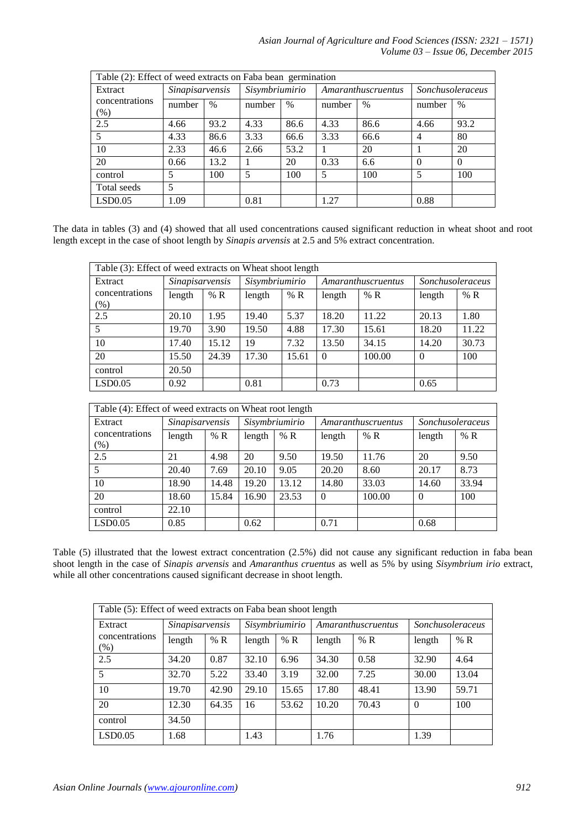| Table (2): Effect of weed extracts on Faba bean germination |                                   |      |                |      |        |                    |                  |          |  |  |  |
|-------------------------------------------------------------|-----------------------------------|------|----------------|------|--------|--------------------|------------------|----------|--|--|--|
| Extract                                                     | Sinapisarvensis<br>$\%$<br>number |      | Sisymbriumirio |      |        | Amaranthuscruentus | Sonchusoleraceus |          |  |  |  |
| concentrations<br>$(\%)$                                    |                                   |      | number         | $\%$ | number | $\%$               | number           | $\%$     |  |  |  |
| 2.5                                                         | 4.66                              | 93.2 | 4.33           | 86.6 | 4.33   | 86.6               | 4.66             | 93.2     |  |  |  |
| 5                                                           | 4.33                              | 86.6 | 3.33           | 66.6 | 3.33   | 66.6               | 4                | 80       |  |  |  |
| 10                                                          | 2.33                              | 46.6 | 2.66           | 53.2 |        | 20                 |                  | 20       |  |  |  |
| 20                                                          | 0.66                              | 13.2 |                | 20   | 0.33   | 6.6                | $\Omega$         | $\Omega$ |  |  |  |
| control                                                     | 5                                 | 100  | 5              | 100  | 5      | 100                | 5                | 100      |  |  |  |
| Total seeds                                                 | 5                                 |      |                |      |        |                    |                  |          |  |  |  |
| LSD0.05                                                     | 1.09                              |      | 0.81           |      | 1.27   |                    | 0.88             |          |  |  |  |

The data in tables (3) and (4) showed that all used concentrations caused significant reduction in wheat shoot and root length except in the case of shoot length by *Sinapis arvensis* at 2.5 and 5% extract concentration.

| Table (3): Effect of weed extracts on Wheat shoot length |                 |       |                |       |          |                    |                  |       |  |  |
|----------------------------------------------------------|-----------------|-------|----------------|-------|----------|--------------------|------------------|-------|--|--|
| Extract                                                  | Sinapisarvensis |       | Sisymbriumirio |       |          | Amaranthuscruentus | Sonchusoleraceus |       |  |  |
| concentrations                                           | length          | % R   | length         | % R   | length   | % R                | length           | % R   |  |  |
| $(\%)$                                                   |                 |       |                |       |          |                    |                  |       |  |  |
| 2.5                                                      | 20.10           | 1.95  | 19.40          | 5.37  | 18.20    | 11.22              | 20.13            | 1.80  |  |  |
| 5                                                        | 19.70           | 3.90  | 19.50          | 4.88  | 17.30    | 15.61              | 18.20            | 11.22 |  |  |
| 10                                                       | 17.40           | 15.12 | 19             | 7.32  | 13.50    | 34.15              | 14.20            | 30.73 |  |  |
| 20                                                       | 15.50           | 24.39 | 17.30          | 15.61 | $\Omega$ | 100.00             | $\Omega$         | 100   |  |  |
| control                                                  | 20.50           |       |                |       |          |                    |                  |       |  |  |
| LSD0.05                                                  | 0.92            |       | 0.81           |       | 0.73     |                    | 0.65             |       |  |  |

| Table (4): Effect of weed extracts on Wheat root length |                 |       |                |                |          |                    |                  |       |  |  |
|---------------------------------------------------------|-----------------|-------|----------------|----------------|----------|--------------------|------------------|-------|--|--|
| Extract                                                 | Sinapisarvensis |       | Sisymbriumirio |                |          | Amaranthuscruentus | Sonchusoleraceus |       |  |  |
| concentrations                                          | length          | % R   | length         | % $\mathbb{R}$ | length   | % R                | length           | % R   |  |  |
| $(\%)$                                                  |                 |       |                |                |          |                    |                  |       |  |  |
| 2.5                                                     | 21              | 4.98  | 20             | 9.50           | 19.50    | 11.76              | 20               | 9.50  |  |  |
| 5                                                       | 20.40           | 7.69  | 20.10          | 9.05           | 20.20    | 8.60               | 20.17            | 8.73  |  |  |
| 10                                                      | 18.90           | 14.48 | 19.20          | 13.12          | 14.80    | 33.03              | 14.60            | 33.94 |  |  |
| 20                                                      | 18.60           | 15.84 | 16.90          | 23.53          | $\Omega$ | 100.00             | $\Omega$         | 100   |  |  |
| control                                                 | 22.10           |       |                |                |          |                    |                  |       |  |  |
| LSD0.05                                                 | 0.85            |       | 0.62           |                | 0.71     |                    | 0.68             |       |  |  |

Table (5) illustrated that the lowest extract concentration (2.5%) did not cause any significant reduction in faba bean shoot length in the case of *Sinapis arvensis* and *Amaranthus cruentus* as well as 5% by using *Sisymbrium irio* extract, while all other concentrations caused significant decrease in shoot length.

| Table (5): Effect of weed extracts on Faba bean shoot length |                 |       |                |                |        |                    |                  |       |  |  |
|--------------------------------------------------------------|-----------------|-------|----------------|----------------|--------|--------------------|------------------|-------|--|--|
| Extract                                                      | Sinapisarvensis |       | Sisymbriumirio |                |        | Amaranthuscruentus | Sonchusoleraceus |       |  |  |
| concentrations<br>$(\%)$                                     | length          | % R   | length         | % $\mathbb{R}$ | length | % R                | length           | % R   |  |  |
| 2.5                                                          | 34.20           | 0.87  | 32.10          | 6.96           | 34.30  | 0.58               | 32.90            | 4.64  |  |  |
| 5                                                            | 32.70           | 5.22  | 33.40          | 3.19           | 32.00  | 7.25               | 30.00            | 13.04 |  |  |
| 10                                                           | 19.70           | 42.90 | 29.10          | 15.65          | 17.80  | 48.41              | 13.90            | 59.71 |  |  |
| 20                                                           | 12.30           | 64.35 | 16             | 53.62          | 10.20  | 70.43              | $\theta$         | 100   |  |  |
| control                                                      | 34.50           |       |                |                |        |                    |                  |       |  |  |
| LSD0.05                                                      | 1.68            |       | 1.43           |                | 1.76   |                    | 1.39             |       |  |  |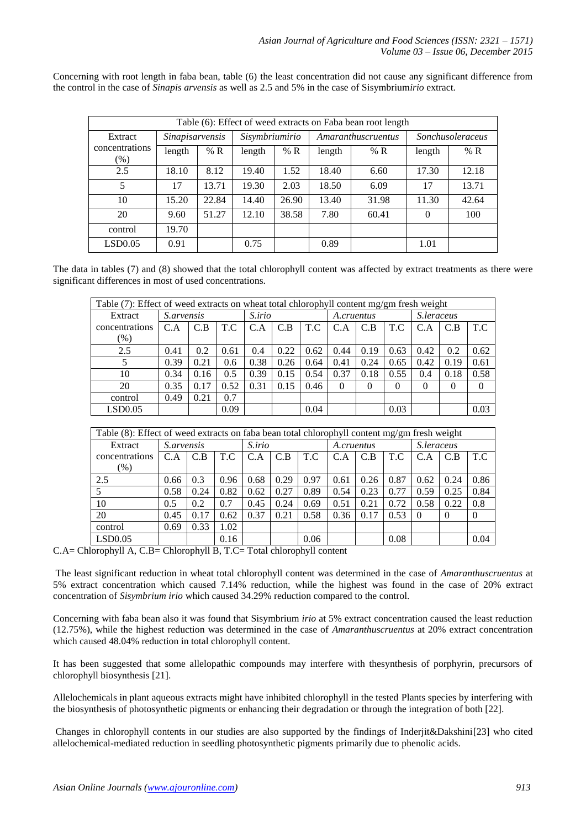Concerning with root length in faba bean, table (6) the least concentration did not cause any significant difference from the control in the case of *Sinapis arvensis* as well as 2.5 and 5% in the case of Sisymbrium*irio* extract.

| Table (6): Effect of weed extracts on Faba bean root length |                        |       |                |       |        |                    |                  |       |  |  |
|-------------------------------------------------------------|------------------------|-------|----------------|-------|--------|--------------------|------------------|-------|--|--|
| Extract                                                     | <b>Sinapisarvensis</b> |       | Sisymbriumirio |       |        | Amaranthuscruentus | Sonchusoleraceus |       |  |  |
| concentrations<br>$(\%)$                                    | length                 | % R   | length         | % R   | length | % $\mathbb{R}$     | length           | % R   |  |  |
| 2.5                                                         | 18.10                  | 8.12  | 19.40          | 1.52  | 18.40  | 6.60               | 17.30            | 12.18 |  |  |
| 5                                                           | 17                     | 13.71 | 19.30          | 2.03  | 18.50  | 6.09               | 17               | 13.71 |  |  |
| 10                                                          | 15.20                  | 22.84 | 14.40          | 26.90 | 13.40  | 31.98              | 11.30            | 42.64 |  |  |
| 20                                                          | 9.60                   | 51.27 | 12.10          | 38.58 | 7.80   | 60.41              | $\Omega$         | 100   |  |  |
| control                                                     | 19.70                  |       |                |       |        |                    |                  |       |  |  |
| LSD0.05                                                     | 0.91                   |       | 0.75           |       | 0.89   |                    | 1.01             |       |  |  |

The data in tables (7) and (8) showed that the total chlorophyll content was affected by extract treatments as there were significant differences in most of used concentrations.

|                | Table $(7)$ : Effect of weed extracts on wheat total chlorophyll content mg/gm fresh weight |      |      |        |      |      |            |          |          |            |      |                |
|----------------|---------------------------------------------------------------------------------------------|------|------|--------|------|------|------------|----------|----------|------------|------|----------------|
| Extract        | <i>S.arvensis</i>                                                                           |      |      | S.irio |      |      | A.cruentus |          |          | S.leraceus |      |                |
| concentrations | C.A                                                                                         | C.B  | T.C  | C.A    | C.B  | T.C  | C.A        | C.B      | T.C      | C.A        | C.B  | T.C            |
| $(\%)$         |                                                                                             |      |      |        |      |      |            |          |          |            |      |                |
| 2.5            | 0.41                                                                                        | 0.2  | 0.61 | 0.4    | 0.22 | 0.62 | 0.44       | 0.19     | 0.63     | 0.42       | 0.2  | 0.62           |
|                | 0.39                                                                                        | 0.21 | 0.6  | 0.38   | 0.26 | 0.64 | 0.41       | 0.24     | 0.65     | 0.42       | 0.19 | 0.61           |
| 10             | 0.34                                                                                        | 0.16 | 0.5  | 0.39   | 0.15 | 0.54 | 0.37       | 0.18     | 0.55     | 0.4        | 0.18 | 0.58           |
| 20             | 0.35                                                                                        | 0.17 | 0.52 | 0.31   | 0.15 | 0.46 | $\Omega$   | $\theta$ | $\Omega$ | $\Omega$   | 0    | $\overline{0}$ |
| control        | 0.49                                                                                        | 0.21 | 0.7  |        |      |      |            |          |          |            |      |                |
| LSD0.05        |                                                                                             |      | 0.09 |        |      | 0.04 |            |          | 0.03     |            |      | 0.03           |

| Table (8): Effect of weed extracts on faba bean total chlorophyll content mg/gm fresh weight |                   |      |      |        |      |      |            |      |      |            |          |      |
|----------------------------------------------------------------------------------------------|-------------------|------|------|--------|------|------|------------|------|------|------------|----------|------|
| Extract                                                                                      | <i>S.arvensis</i> |      |      | S.irio |      |      | A.cruentus |      |      | S.leraceus |          |      |
| concentrations                                                                               | C.A               | C.B  | T.C  | C.A    | C.B  | T.C  | C.A        | C.B  | T.C  | C.A        | C.B      | T.C  |
| $(\%)$                                                                                       |                   |      |      |        |      |      |            |      |      |            |          |      |
| 2.5                                                                                          | 0.66              | 0.3  | 0.96 | 0.68   | 0.29 | 0.97 | 0.61       | 0.26 | 0.87 | 0.62       | 0.24     | 0.86 |
|                                                                                              | 0.58              | 0.24 | 0.82 | 0.62   | 0.27 | 0.89 | 0.54       | 0.23 | 0.77 | 0.59       | 0.25     | 0.84 |
| 10                                                                                           | 0.5               | 0.2  | 0.7  | 0.45   | 0.24 | 0.69 | 0.51       | 0.21 | 0.72 | 0.58       | 0.22     | 0.8  |
| 20                                                                                           | 0.45              | 0.17 | 0.62 | 0.37   | 0.21 | 0.58 | 0.36       | 0.17 | 0.53 | $\Omega$   | $\Omega$ |      |
| control                                                                                      | 0.69              | 0.33 | .02  |        |      |      |            |      |      |            |          |      |
| LSD0.05                                                                                      |                   |      | 0.16 |        |      | 0.06 |            |      | 0.08 |            |          | 0.04 |

C.A= Chlorophyll A, C.B= Chlorophyll B, T.C= Total chlorophyll content

The least significant reduction in wheat total chlorophyll content was determined in the case of *Amaranthuscruentus* at 5% extract concentration which caused 7.14% reduction, while the highest was found in the case of 20% extract concentration of *Sisymbrium irio* which caused 34.29% reduction compared to the control.

Concerning with faba bean also it was found that Sisymbrium *irio* at 5% extract concentration caused the least reduction (12.75%), while the highest reduction was determined in the case of *Amaranthuscruentus* at 20% extract concentration which caused 48.04% reduction in total chlorophyll content.

It has been suggested that some allelopathic compounds may interfere with thesynthesis of porphyrin, precursors of chlorophyll biosynthesis [21].

Allelochemicals in plant aqueous extracts might have inhibited chlorophyll in the tested Plants species by interfering with the biosynthesis of photosynthetic pigments or enhancing their degradation or through the integration of both [22].

Changes in chlorophyll contents in our studies are also supported by the findings of Inderjit&Dakshini[23] who cited allelochemical-mediated reduction in seedling photosynthetic pigments primarily due to phenolic acids.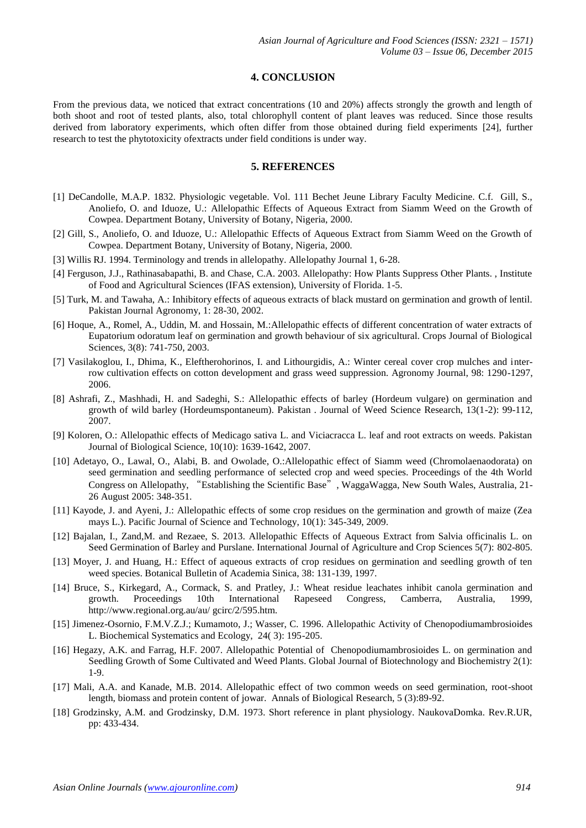#### **4. CONCLUSION**

From the previous data, we noticed that extract concentrations (10 and 20%) affects strongly the growth and length of both shoot and root of tested plants, also, total chlorophyll content of plant leaves was reduced. Since those results derived from laboratory experiments, which often differ from those obtained during field experiments [24], further research to test the phytotoxicity ofextracts under field conditions is under way.

## **5. REFERENCES**

- [1] DeCandolle, M.A.P. 1832. Physiologic vegetable. Vol. 111 Bechet Jeune Library Faculty Medicine. C.f. Gill, S., Anoliefo, O. and Iduoze, U.: Allelopathic Effects of Aqueous Extract from Siamm Weed on the Growth of Cowpea. Department Botany, University of Botany, Nigeria, 2000.
- [2] Gill, S., Anoliefo, O. and Iduoze, U.: Allelopathic Effects of Aqueous Extract from Siamm Weed on the Growth of Cowpea. Department Botany, University of Botany, Nigeria, 2000.
- [3] Willis RJ. 1994. Terminology and trends in allelopathy. Allelopathy Journal 1, 6-28.
- [4] Ferguson, J.J., Rathinasabapathi, B. and Chase, C.A. 2003. Allelopathy: How Plants Suppress Other Plants. , Institute of Food and Agricultural Sciences (IFAS extension), University of Florida. 1-5.
- [5] Turk, M. and Tawaha, A.: Inhibitory effects of aqueous extracts of black mustard on germination and growth of lentil. Pakistan Journal Agronomy, 1: 28-30, 2002.
- [6] Hoque, A., Romel, A., Uddin, M. and Hossain, M.:Allelopathic effects of different concentration of water extracts of Eupatorium odoratum leaf on germination and growth behaviour of six agricultural. Crops Journal of Biological Sciences, 3(8): 741-750, 2003.
- [7] Vasilakoglou, I., Dhima, K., Eleftherohorinos, I. and Lithourgidis, A.: Winter cereal cover crop mulches and interrow cultivation effects on cotton development and grass weed suppression. Agronomy Journal, 98: 1290-1297, 2006.
- [8] Ashrafi, Z., Mashhadi, H. and Sadeghi, S.: Allelopathic effects of barley (Hordeum vulgare) on germination and growth of wild barley (Hordeumspontaneum). Pakistan . Journal of Weed Science Research, 13(1-2): 99-112, 2007.
- [9] Koloren, O.: Allelopathic effects of Medicago sativa L. and Viciacracca L. leaf and root extracts on weeds. Pakistan Journal of Biological Science, 10(10): 1639-1642, 2007.
- [10] Adetayo, O., Lawal, O., Alabi, B. and Owolade, O.:Allelopathic effect of Siamm weed (Chromolaenaodorata) on seed germination and seedling performance of selected crop and weed species. Proceedings of the 4th World Congress on Allelopathy, "Establishing the Scientific Base", WaggaWagga, New South Wales, Australia, 21- 26 August 2005: 348-351.
- [11] Kayode, J. and Ayeni, J.: Allelopathic effects of some crop residues on the germination and growth of maize (Zea mays L.). Pacific Journal of Science and Technology, 10(1): 345-349, 2009.
- [12] Bajalan, I., Zand,M. and Rezaee, S. 2013. Allelopathic Effects of Aqueous Extract from Salvia officinalis L. on Seed Germination of Barley and Purslane. International Journal of Agriculture and Crop Sciences 5(7): 802-805.
- [13] Moyer, J. and Huang, H.: Effect of aqueous extracts of crop residues on germination and seedling growth of ten weed species. Botanical Bulletin of Academia Sinica, 38: 131-139, 1997.
- [14] Bruce, S., Kirkegard, A., Cormack, S. and Pratley, J.: Wheat residue leachates inhibit canola germination and growth. Proceedings 10th International Rapeseed Congress, Camberra, Australia, 1999, http://www.regional.org.au/au/ gcirc/2/595.htm.
- [15] Jimenez-Osornio, F.M.V.Z.J.; Kumamoto, J.; Wasser, C. 1996. Allelopathic Activity of Chenopodiumambrosioides L. Biochemical Systematics and Ecology, 24( 3): 195-205.
- [16] Hegazy, A.K. and Farrag, H.F. 2007. Allelopathic Potential of Chenopodiumambrosioides L. on germination and Seedling Growth of Some Cultivated and Weed Plants. Global Journal of Biotechnology and Biochemistry 2(1): 1-9.
- [17] Mali, A.A. and Kanade, M.B. 2014. Allelopathic effect of two common weeds on seed germination, root-shoot length, biomass and protein content of jowar. Annals of Biological Research, 5 (3):89-92.
- [18] Grodzinsky, A.M. and Grodzinsky, D.M. 1973. Short reference in plant physiology. NaukovaDomka. Rev.R.UR, pp: 433-434.